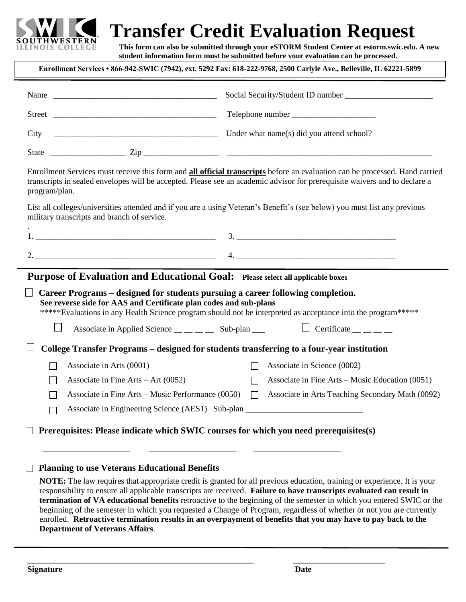

# **Transfer Credit Evaluation Request**

**Form student information form must be submitted before your evaluation can be processed. This form can also be submitted through your eSTORM Student Center at estorm.swic.edu. A new** 

|                                                                                                                                                      | Enrollment Services • 866-942-SWIC (7942), ext. 5292 Fax: 618-222-9768, 2500 Carlyle Ave., Belleville, IL 62221-5899                                                                                                                                             |
|------------------------------------------------------------------------------------------------------------------------------------------------------|------------------------------------------------------------------------------------------------------------------------------------------------------------------------------------------------------------------------------------------------------------------|
| Name                                                                                                                                                 |                                                                                                                                                                                                                                                                  |
|                                                                                                                                                      |                                                                                                                                                                                                                                                                  |
| City                                                                                                                                                 | Under what name(s) did you attend school?                                                                                                                                                                                                                        |
|                                                                                                                                                      |                                                                                                                                                                                                                                                                  |
| program/plan.                                                                                                                                        | Enrollment Services must receive this form and <b>all official transcripts</b> before an evaluation can be processed. Hand carried<br>transcripts in sealed envelopes will be accepted. Please see an academic advisor for prerequisite waivers and to declare a |
| military transcripts and branch of service.                                                                                                          | List all colleges/universities attended and if you are a using Veteran's Benefit's (see below) you must list any previous                                                                                                                                        |
|                                                                                                                                                      |                                                                                                                                                                                                                                                                  |
|                                                                                                                                                      |                                                                                                                                                                                                                                                                  |
| <b>Purpose of Evaluation and Educational Goal:</b> Please select all applicable boxes                                                                |                                                                                                                                                                                                                                                                  |
| Career Programs – designed for students pursuing a career following completion.<br>See reverse side for AAS and Certificate plan codes and sub-plans | *****Evaluations in any Health Science program should not be interpreted as acceptance into the program*****                                                                                                                                                     |
| $\Box$                                                                                                                                               | Associate in Applied Science $\_\_$ $\_\_$ Sub-plan $\_\_$ $\qquad \qquad \Box$ Certificate $\_\_$                                                                                                                                                               |
|                                                                                                                                                      | College Transfer Programs – designed for students transferring to a four-year institution                                                                                                                                                                        |
| Associate in Arts (0001)                                                                                                                             | Associate in Science (0002)                                                                                                                                                                                                                                      |
| Associate in Fine Arts $-$ Art (0052)                                                                                                                | Associate in Fine Arts – Music Education $(0051)$                                                                                                                                                                                                                |
| Associate in Fine Arts – Music Performance (0050)                                                                                                    | Associate in Arts Teaching Secondary Math (0092)<br>П                                                                                                                                                                                                            |
|                                                                                                                                                      | Associate in Engineering Science (AES1) Sub-plan ________________________________                                                                                                                                                                                |
| Prerequisites: Please indicate which SWIC courses for which you need prerequisites(s)                                                                |                                                                                                                                                                                                                                                                  |
| <b>Planning to use Veterans Educational Benefits</b><br>$\Box$                                                                                       | <b>NOTE:</b> The law requires that appropriate credit is granted for all previous education, training or experience. It is your                                                                                                                                  |

responsibility to ensure all applicable transcripts are received. **Failure to have transcripts evaluated can result in termination of VA educational benefits** retroactive to the beginning of the semester in which you entered SWIC or the beginning of the semester in which you requested a Change of Program, regardless of whether or not you are currently enrolled. **Retroactive termination results in an overpayment of benefits that you may have to pay back to the Department of Veterans Affairs**.

**\_\_\_\_\_\_\_\_\_\_\_\_\_\_\_\_\_\_\_\_\_\_\_\_\_\_\_\_\_\_\_\_\_\_\_\_\_\_\_\_\_\_\_\_\_\_\_\_\_\_\_\_\_\_ \_\_\_\_\_\_\_\_\_\_\_\_\_\_\_\_\_\_\_\_\_\_**